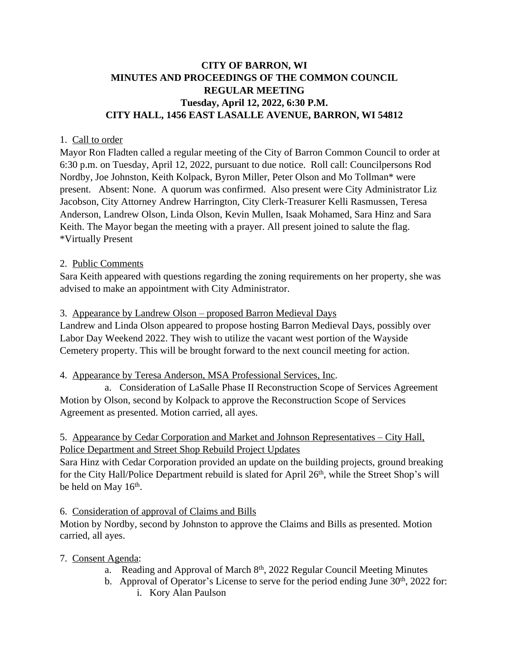# **CITY OF BARRON, WI MINUTES AND PROCEEDINGS OF THE COMMON COUNCIL REGULAR MEETING Tuesday, April 12, 2022, 6:30 P.M. CITY HALL, 1456 EAST LASALLE AVENUE, BARRON, WI 54812**

### 1. Call to order

Mayor Ron Fladten called a regular meeting of the City of Barron Common Council to order at 6:30 p.m. on Tuesday, April 12, 2022, pursuant to due notice. Roll call: Councilpersons Rod Nordby, Joe Johnston, Keith Kolpack, Byron Miller, Peter Olson and Mo Tollman\* were present. Absent: None. A quorum was confirmed. Also present were City Administrator Liz Jacobson, City Attorney Andrew Harrington, City Clerk-Treasurer Kelli Rasmussen, Teresa Anderson, Landrew Olson, Linda Olson, Kevin Mullen, Isaak Mohamed, Sara Hinz and Sara Keith. The Mayor began the meeting with a prayer. All present joined to salute the flag. \*Virtually Present

### 2. Public Comments

Sara Keith appeared with questions regarding the zoning requirements on her property, she was advised to make an appointment with City Administrator.

### 3. Appearance by Landrew Olson – proposed Barron Medieval Days

Landrew and Linda Olson appeared to propose hosting Barron Medieval Days, possibly over Labor Day Weekend 2022. They wish to utilize the vacant west portion of the Wayside Cemetery property. This will be brought forward to the next council meeting for action.

## 4. Appearance by Teresa Anderson, MSA Professional Services, Inc.

a. Consideration of LaSalle Phase II Reconstruction Scope of Services Agreement Motion by Olson, second by Kolpack to approve the Reconstruction Scope of Services Agreement as presented. Motion carried, all ayes.

## 5. Appearance by Cedar Corporation and Market and Johnson Representatives – City Hall, Police Department and Street Shop Rebuild Project Updates

Sara Hinz with Cedar Corporation provided an update on the building projects, ground breaking for the City Hall/Police Department rebuild is slated for April 26<sup>th</sup>, while the Street Shop's will be held on May 16<sup>th</sup>.

## 6. Consideration of approval of Claims and Bills

Motion by Nordby, second by Johnston to approve the Claims and Bills as presented. Motion carried, all ayes.

## 7. Consent Agenda:

- a. Reading and Approval of March 8<sup>th</sup>, 2022 Regular Council Meeting Minutes
- b. Approval of Operator's License to serve for the period ending June 30<sup>th</sup>, 2022 for:
	- i. Kory Alan Paulson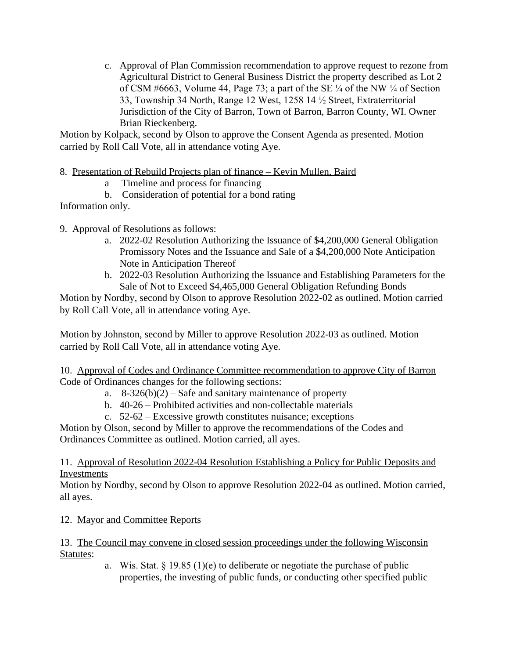c. Approval of Plan Commission recommendation to approve request to rezone from Agricultural District to General Business District the property described as Lot 2 of CSM #6663, Volume 44, Page 73; a part of the SE  $\frac{1}{4}$  of the NW  $\frac{1}{4}$  of Section 33, Township 34 North, Range 12 West, 1258 14 ½ Street, Extraterritorial Jurisdiction of the City of Barron, Town of Barron, Barron County, WI. Owner Brian Rieckenberg.

Motion by Kolpack, second by Olson to approve the Consent Agenda as presented. Motion carried by Roll Call Vote, all in attendance voting Aye.

- 8. Presentation of Rebuild Projects plan of finance Kevin Mullen, Baird
	- a Timeline and process for financing
	- b. Consideration of potential for a bond rating

Information only.

- 9. Approval of Resolutions as follows:
	- a. 2022-02 Resolution Authorizing the Issuance of \$4,200,000 General Obligation Promissory Notes and the Issuance and Sale of a \$4,200,000 Note Anticipation Note in Anticipation Thereof
	- b. 2022-03 Resolution Authorizing the Issuance and Establishing Parameters for the Sale of Not to Exceed \$4,465,000 General Obligation Refunding Bonds

Motion by Nordby, second by Olson to approve Resolution 2022-02 as outlined. Motion carried by Roll Call Vote, all in attendance voting Aye.

Motion by Johnston, second by Miller to approve Resolution 2022-03 as outlined. Motion carried by Roll Call Vote, all in attendance voting Aye.

10. Approval of Codes and Ordinance Committee recommendation to approve City of Barron Code of Ordinances changes for the following sections:

- a.  $8-326(b)(2)$  Safe and sanitary maintenance of property
- b. 40-26 Prohibited activities and non-collectable materials
- c. 52-62 Excessive growth constitutes nuisance; exceptions

Motion by Olson, second by Miller to approve the recommendations of the Codes and Ordinances Committee as outlined. Motion carried, all ayes.

### 11. Approval of Resolution 2022-04 Resolution Establishing a Policy for Public Deposits and Investments

Motion by Nordby, second by Olson to approve Resolution 2022-04 as outlined. Motion carried, all ayes.

# 12. Mayor and Committee Reports

13. The Council may convene in closed session proceedings under the following Wisconsin Statutes:

a. Wis. Stat.  $\S 19.85(1)(e)$  to deliberate or negotiate the purchase of public properties, the investing of public funds, or conducting other specified public